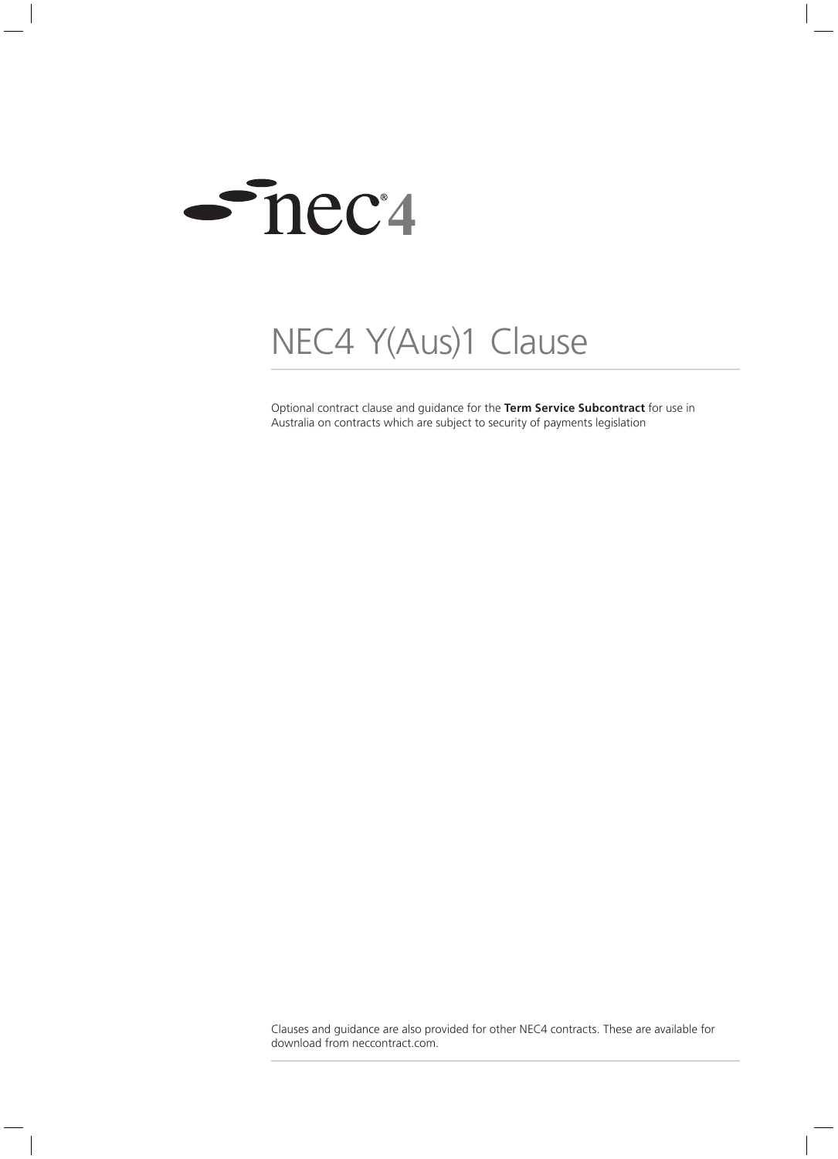

## NEC4 Y(Aus)1 Clause

Optional contract clause and guidance for the **Term Service Subcontract** for use in Australia on contracts which are subject to security of payments legislation

Clauses and guidance are also provided for other NEC4 contracts. These are available for download from neccontract.com.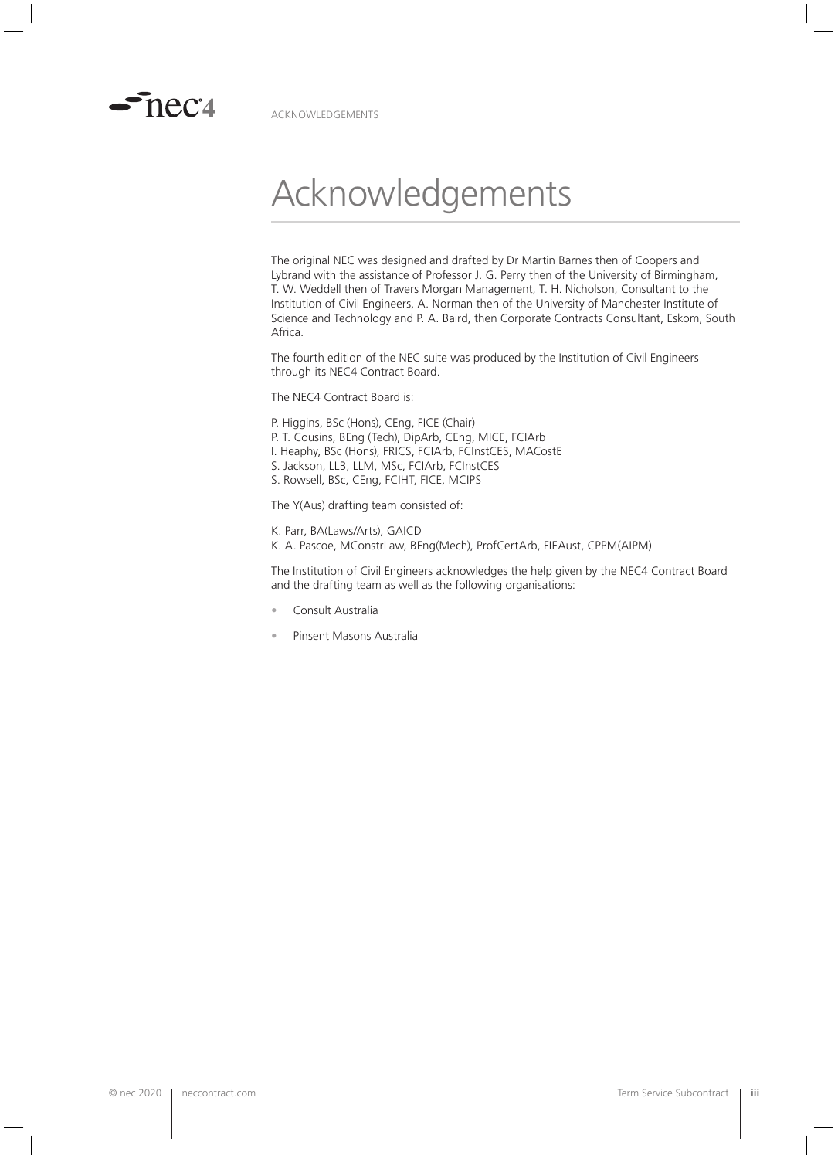

 $\sim$ neca

## Acknowledgements

The original NEC was designed and drafted by Dr Martin Barnes then of Coopers and Lybrand with the assistance of Professor J. G. Perry then of the University of Birmingham, T. W. Weddell then of Travers Morgan Management, T. H. Nicholson, Consultant to the Institution of Civil Engineers, A. Norman then of the University of Manchester Institute of Science and Technology and P. A. Baird, then Corporate Contracts Consultant, Eskom, South Africa.

The fourth edition of the NEC suite was produced by the Institution of Civil Engineers through its NEC4 Contract Board.

The NEC4 Contract Board is:

- P. Higgins, BSc (Hons), CEng, FICE (Chair)
- P. T. Cousins, BEng (Tech), DipArb, CEng, MICE, FCIArb
- I. Heaphy, BSc (Hons), FRICS, FCIArb, FCInstCES, MACostE
- S. Jackson, LLB, LLM, MSc, FCIArb, FCInstCES
- S. Rowsell, BSc, CEng, FCIHT, FICE, MCIPS

The Y(Aus) drafting team consisted of:

K. Parr, BA(Laws/Arts), GAICD K. A. Pascoe, MConstrLaw, BEng(Mech), ProfCertArb, FIEAust, CPPM(AIPM)

The Institution of Civil Engineers acknowledges the help given by the NEC4 Contract Board and the drafting team as well as the following organisations:

- Consult Australia
- Pinsent Masons Australia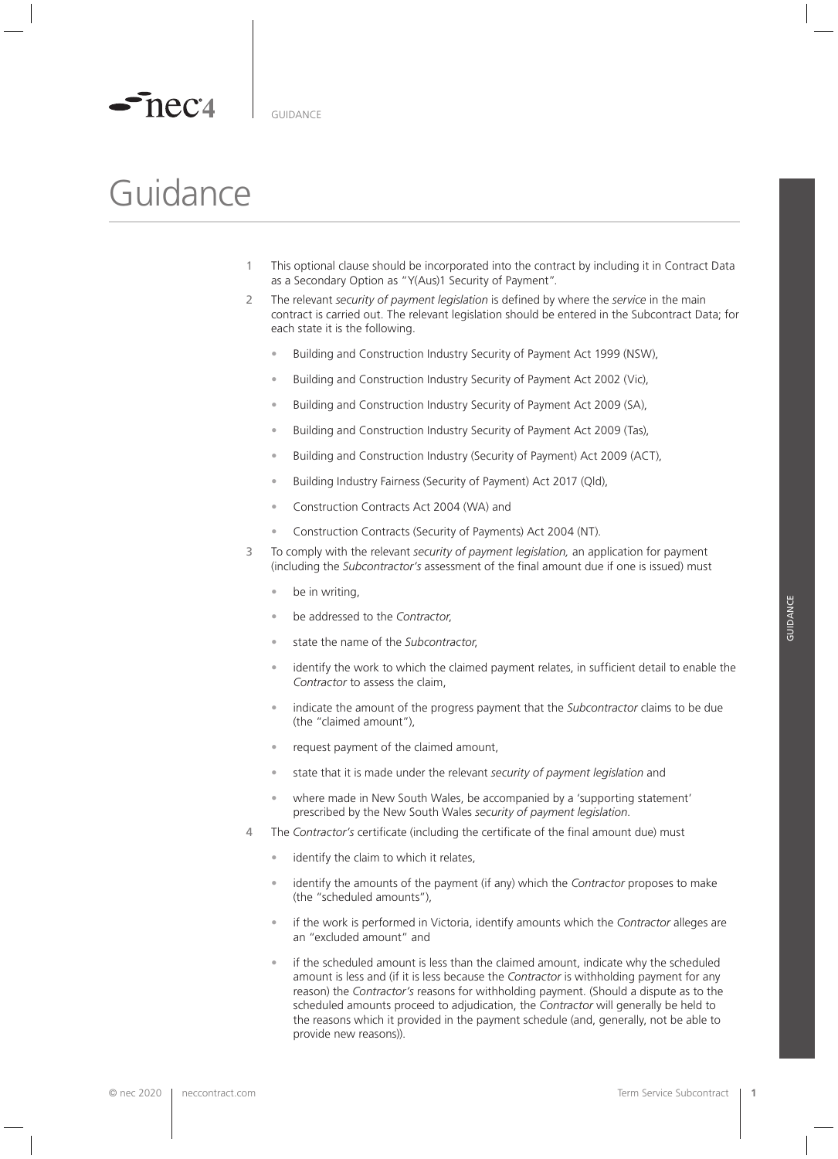

## Guidance

- 1 This optional clause should be incorporated into the contract by including it in Contract Data as a Secondary Option as "Y(Aus)1 Security of Payment".
- 2 The relevant *security of payment legislation* is defined by where the *service* in the main contract is carried out. The relevant legislation should be entered in the Subcontract Data; for each state it is the following.
	- Building and Construction Industry Security of Payment Act 1999 (NSW),
	- Building and Construction Industry Security of Payment Act 2002 (Vic),
	- Building and Construction Industry Security of Payment Act 2009 (SA),
	- Building and Construction Industry Security of Payment Act 2009 (Tas),
	- Building and Construction Industry (Security of Payment) Act 2009 (ACT),
	- Building Industry Fairness (Security of Payment) Act 2017 (Qld),
	- Construction Contracts Act 2004 (WA) and
	- Construction Contracts (Security of Payments) Act 2004 (NT).
- 3 To comply with the relevant *security of payment legislation,* an application for payment (including the *Subcontractor's* assessment of the final amount due if one is issued) must
	- be in writing,
	- be addressed to the *Contractor*,
	- state the name of the *Subcontractor*,
	- identify the work to which the claimed payment relates, in sufficient detail to enable the *Contractor* to assess the claim,
	- indicate the amount of the progress payment that the *Subcontractor* claims to be due (the "claimed amount"),
	- request payment of the claimed amount,
	- state that it is made under the relevant *security of payment legislation* and
	- where made in New South Wales, be accompanied by a 'supporting statement' prescribed by the New South Wales *security of payment legislation*.
- 4 The *Contractor's* certificate (including the certificate of the final amount due) must
	- identify the claim to which it relates,
	- identify the amounts of the payment (if any) which the *Contractor* proposes to make (the "scheduled amounts"),
	- if the work is performed in Victoria, identify amounts which the *Contractor* alleges are an "excluded amount" and
	- if the scheduled amount is less than the claimed amount, indicate why the scheduled amount is less and (if it is less because the *Contractor* is withholding payment for any reason) the *Contractor's* reasons for withholding payment. (Should a dispute as to the scheduled amounts proceed to adjudication, the *Contractor* will generally be held to the reasons which it provided in the payment schedule (and, generally, not be able to provide new reasons)).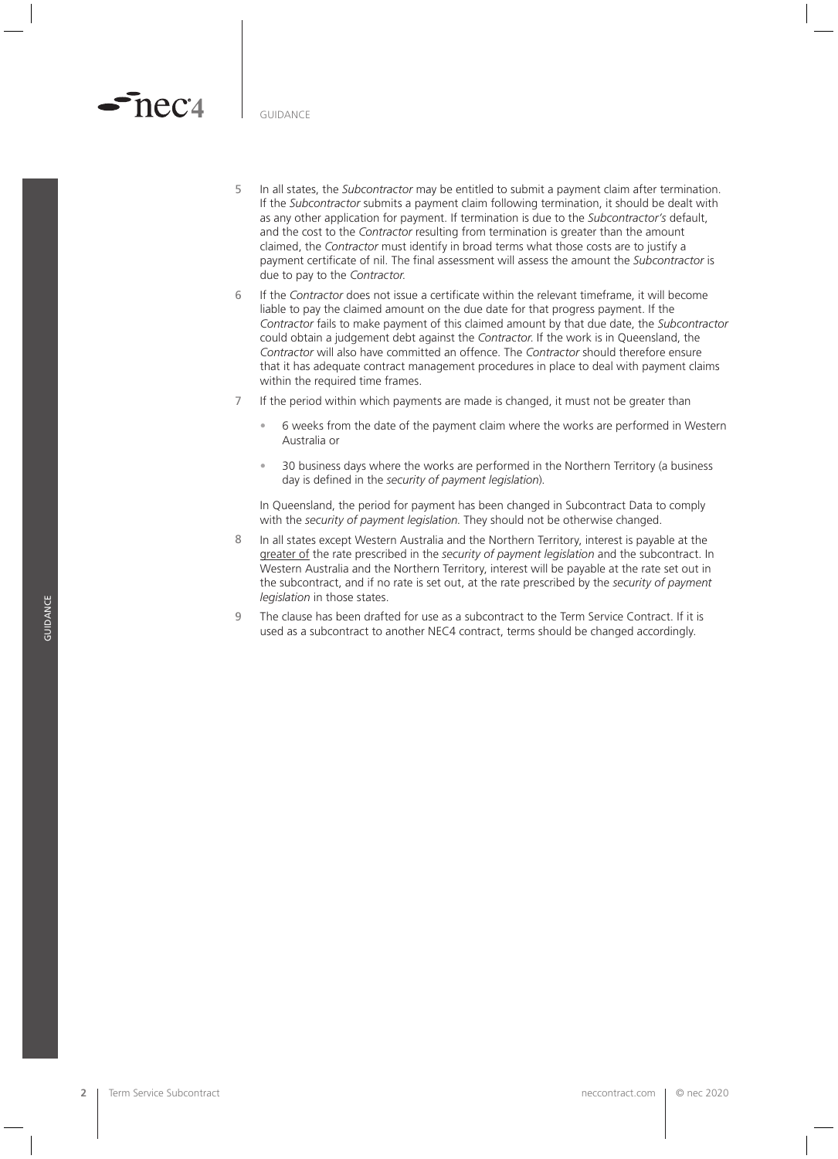GUIDANCE

nec<sup>1</sup>

- 5 In all states, the *Subcontractor* may be entitled to submit a payment claim after termination. If the *Subcontractor* submits a payment claim following termination, it should be dealt with as any other application for payment. If termination is due to the *Subcontractor's* default, and the cost to the *Contractor* resulting from termination is greater than the amount claimed, the *Contractor* must identify in broad terms what those costs are to justify a payment certificate of nil. The final assessment will assess the amount the *Subcontractor* is due to pay to the *Contractor*.
- 6 If the *Contractor* does not issue a certificate within the relevant timeframe, it will become liable to pay the claimed amount on the due date for that progress payment. If the *Contractor* fails to make payment of this claimed amount by that due date, the *Subcontractor*  could obtain a judgement debt against the *Contractor*. If the work is in Queensland, the *Contractor* will also have committed an offence. The *Contractor* should therefore ensure that it has adequate contract management procedures in place to deal with payment claims within the required time frames.
- 7 If the period within which payments are made is changed, it must not be greater than
	- 6 weeks from the date of the payment claim where the works are performed in Western Australia or
	- 30 business days where the works are performed in the Northern Territory (a business day is defined in the *security of payment legislation*).

In Queensland, the period for payment has been changed in Subcontract Data to comply with the *security of payment legislation*. They should not be otherwise changed.

- 8 In all states except Western Australia and the Northern Territory, interest is payable at the greater of the rate prescribed in the *security of payment legislation* and the subcontract. In Western Australia and the Northern Territory, interest will be payable at the rate set out in the subcontract, and if no rate is set out, at the rate prescribed by the *security of payment legislation* in those states.
- 9 The clause has been drafted for use as a subcontract to the Term Service Contract. If it is used as a subcontract to another NEC4 contract, terms should be changed accordingly.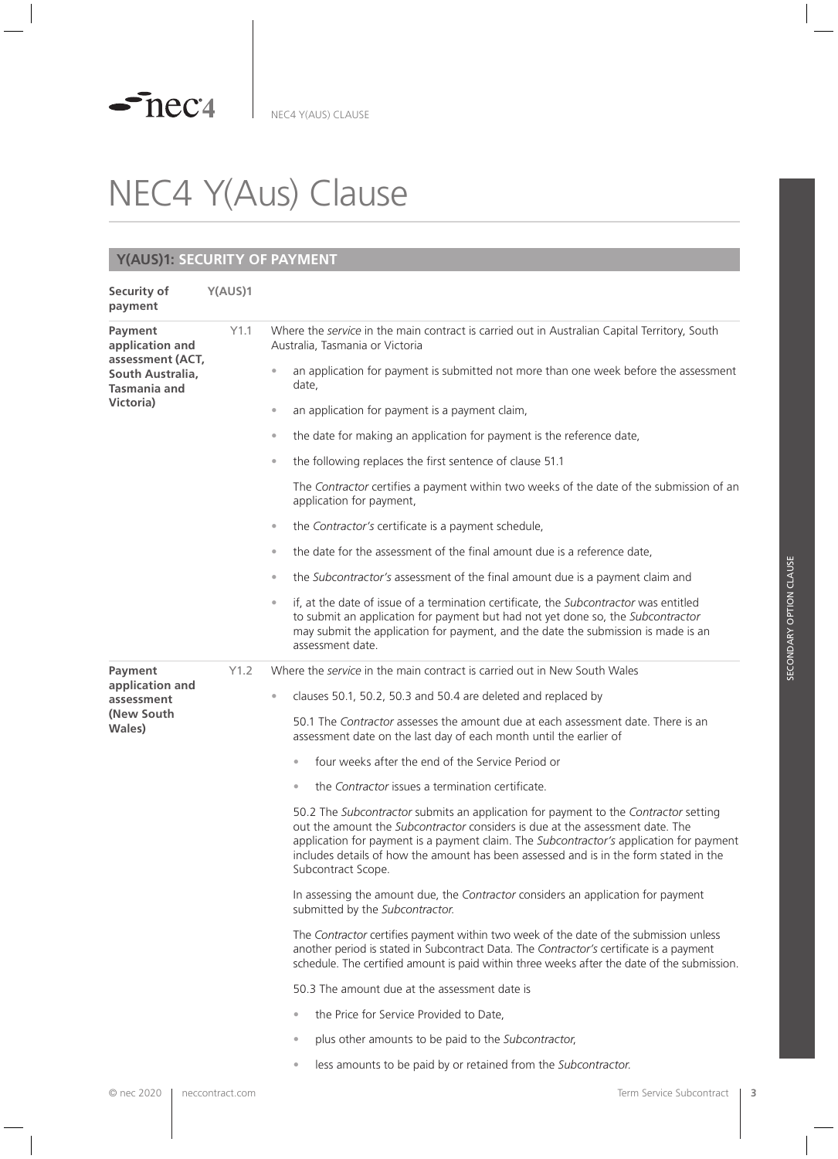# NEC4 Y(Aus) Clause

#### **Y(AUS)1: SECURITY OF PAYMENT**

| Security of<br>payment                                                                                 | Y(AUS)1 |                                                                                                                                                                                                                                                                                                                                                                                |
|--------------------------------------------------------------------------------------------------------|---------|--------------------------------------------------------------------------------------------------------------------------------------------------------------------------------------------------------------------------------------------------------------------------------------------------------------------------------------------------------------------------------|
| Payment<br>application and<br>assessment (ACT,<br>South Australia,<br><b>Tasmania and</b><br>Victoria) | Y1.1    | Where the service in the main contract is carried out in Australian Capital Territory, South<br>Australia, Tasmania or Victoria                                                                                                                                                                                                                                                |
|                                                                                                        |         | an application for payment is submitted not more than one week before the assessment<br>date,                                                                                                                                                                                                                                                                                  |
|                                                                                                        |         | an application for payment is a payment claim,<br>$\circ$                                                                                                                                                                                                                                                                                                                      |
|                                                                                                        |         | the date for making an application for payment is the reference date,<br>$\bullet$                                                                                                                                                                                                                                                                                             |
|                                                                                                        |         | the following replaces the first sentence of clause 51.1<br>$\circ$                                                                                                                                                                                                                                                                                                            |
|                                                                                                        |         | The Contractor certifies a payment within two weeks of the date of the submission of an<br>application for payment,                                                                                                                                                                                                                                                            |
|                                                                                                        |         | the Contractor's certificate is a payment schedule,<br>$\bullet$                                                                                                                                                                                                                                                                                                               |
|                                                                                                        |         | the date for the assessment of the final amount due is a reference date,<br>$\circ$                                                                                                                                                                                                                                                                                            |
|                                                                                                        |         | the Subcontractor's assessment of the final amount due is a payment claim and<br>$\circ$                                                                                                                                                                                                                                                                                       |
|                                                                                                        |         | if, at the date of issue of a termination certificate, the Subcontractor was entitled<br>$\bullet$<br>to submit an application for payment but had not yet done so, the Subcontractor<br>may submit the application for payment, and the date the submission is made is an<br>assessment date.                                                                                 |
| Payment<br>application and<br>assessment<br>(New South)<br>Wales)                                      | Y1.2    | Where the <i>service</i> in the main contract is carried out in New South Wales                                                                                                                                                                                                                                                                                                |
|                                                                                                        |         | clauses 50.1, 50.2, 50.3 and 50.4 are deleted and replaced by<br>$\bullet$                                                                                                                                                                                                                                                                                                     |
|                                                                                                        |         | 50.1 The Contractor assesses the amount due at each assessment date. There is an<br>assessment date on the last day of each month until the earlier of                                                                                                                                                                                                                         |
|                                                                                                        |         | four weeks after the end of the Service Period or<br>$\bullet$                                                                                                                                                                                                                                                                                                                 |
|                                                                                                        |         | the Contractor issues a termination certificate.<br>$\bullet$                                                                                                                                                                                                                                                                                                                  |
|                                                                                                        |         | 50.2 The Subcontractor submits an application for payment to the Contractor setting<br>out the amount the Subcontractor considers is due at the assessment date. The<br>application for payment is a payment claim. The Subcontractor's application for payment<br>includes details of how the amount has been assessed and is in the form stated in the<br>Subcontract Scope. |
|                                                                                                        |         | In assessing the amount due, the Contractor considers an application for payment<br>submitted by the Subcontractor.                                                                                                                                                                                                                                                            |
|                                                                                                        |         | The Contractor certifies payment within two week of the date of the submission unless<br>another period is stated in Subcontract Data. The Contractor's certificate is a payment<br>schedule. The certified amount is paid within three weeks after the date of the submission.                                                                                                |
|                                                                                                        |         | 50.3 The amount due at the assessment date is                                                                                                                                                                                                                                                                                                                                  |
|                                                                                                        |         | the Price for Service Provided to Date,<br>$\qquad \qquad \bullet$                                                                                                                                                                                                                                                                                                             |
|                                                                                                        |         | plus other amounts to be paid to the Subcontractor,<br>$\qquad \qquad \bullet$                                                                                                                                                                                                                                                                                                 |
|                                                                                                        |         | less amounts to be paid by or retained from the Subcontractor.<br>$\bullet$                                                                                                                                                                                                                                                                                                    |